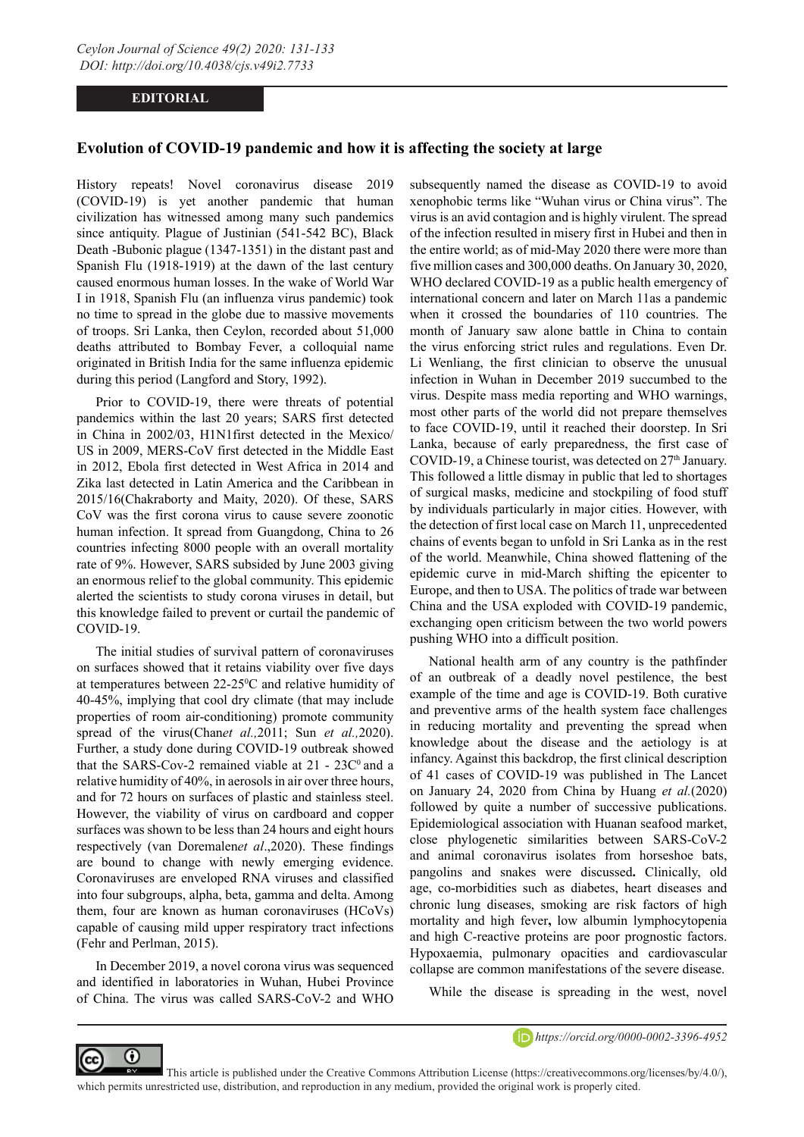## **EDITORIAL**

## **Evolution of COVID-19 pandemic and how it is affecting the society at large**

History repeats! Novel coronavirus disease 2019 (COVID-19) is yet another pandemic that human civilization has witnessed among many such pandemics since antiquity. Plague of Justinian (541-542 BC), Black Death -Bubonic plague (1347-1351) in the distant past and Spanish Flu (1918-1919) at the dawn of the last century caused enormous human losses. In the wake of World War I in 1918, Spanish Flu (an influenza virus pandemic) took no time to spread in the globe due to massive movements of troops. Sri Lanka, then Ceylon, recorded about 51,000 deaths attributed to Bombay Fever, a colloquial name originated in British India for the same influenza epidemic during this period (Langford and Story, 1992).

Prior to COVID-19, there were threats of potential pandemics within the last 20 years; SARS first detected in China in 2002/03, H1N1first detected in the Mexico/ US in 2009, MERS-CoV first detected in the Middle East in 2012, Ebola first detected in West Africa in 2014 and Zika last detected in Latin America and the Caribbean in 2015/16(Chakraborty and Maity, 2020). Of these, SARS CoV was the first corona virus to cause severe zoonotic human infection. It spread from Guangdong, China to 26 countries infecting 8000 people with an overall mortality rate of 9%. However, SARS subsided by June 2003 giving an enormous relief to the global community. This epidemic alerted the scientists to study corona viruses in detail, but this knowledge failed to prevent or curtail the pandemic of COVID-19.

The initial studies of survival pattern of coronaviruses on surfaces showed that it retains viability over five days at temperatures between 22-25<sup>o</sup>C and relative humidity of 40-45%, implying that cool dry climate (that may include properties of room air-conditioning) promote community spread of the virus(Chan*et al.,*2011; Sun *et al.,*2020). Further, a study done during COVID-19 outbreak showed that the SARS-Cov-2 remained viable at  $21 - 23C<sup>0</sup>$  and a relative humidity of 40%, in aerosols in air over three hours, and for 72 hours on surfaces of plastic and stainless steel. However, the viability of virus on cardboard and copper surfaces was shown to be less than 24 hours and eight hours respectively (van Doremalen*et al*.,2020). These findings are bound to change with newly emerging evidence. Coronaviruses are enveloped RNA viruses and classified into four subgroups, alpha, beta, gamma and delta. Among them, four are known as human coronaviruses (HCoVs) capable of causing mild upper respiratory tract infections (Fehr and Perlman, 2015).

In December 2019, a novel corona virus was sequenced and identified in laboratories in Wuhan, Hubei Province of China. The virus was called SARS-CoV-2 and WHO

⋒

(cc

subsequently named the disease as COVID-19 to avoid xenophobic terms like "Wuhan virus or China virus". The virus is an avid contagion and is highly virulent. The spread of the infection resulted in misery first in Hubei and then in the entire world; as of mid-May 2020 there were more than five million cases and 300,000 deaths. On January 30, 2020, WHO declared COVID-19 as a public health emergency of international concern and later on March 11as a pandemic when it crossed the boundaries of 110 countries. The month of January saw alone battle in China to contain the virus enforcing strict rules and regulations. Even Dr. Li Wenliang, the first clinician to observe the unusual infection in Wuhan in December 2019 succumbed to the virus. Despite mass media reporting and WHO warnings, most other parts of the world did not prepare themselves to face COVID-19, until it reached their doorstep. In Sri Lanka, because of early preparedness, the first case of COVID-19, a Chinese tourist, was detected on 27<sup>th</sup> January. This followed a little dismay in public that led to shortages of surgical masks, medicine and stockpiling of food stuff by individuals particularly in major cities. However, with the detection of first local case on March 11, unprecedented chains of events began to unfold in Sri Lanka as in the rest of the world. Meanwhile, China showed flattening of the epidemic curve in mid-March shifting the epicenter to Europe, and then to USA. The politics of trade war between China and the USA exploded with COVID-19 pandemic, exchanging open criticism between the two world powers pushing WHO into a difficult position.

National health arm of any country is the pathfinder of an outbreak of a deadly novel pestilence, the best example of the time and age is COVID-19. Both curative and preventive arms of the health system face challenges in reducing mortality and preventing the spread when knowledge about the disease and the aetiology is at infancy. Against this backdrop, the first clinical description of 41 cases of COVID-19 was published in The Lancet on January 24, 2020 from China by Huang *et al.*(2020) followed by quite a number of successive publications. Epidemiological association with Huanan seafood market, close phylogenetic similarities between SARS-CoV-2 and animal coronavirus isolates from horseshoe bats, pangolins and snakes were discussed**.** Clinically, old age, co-morbidities such as diabetes, heart diseases and chronic lung diseases, smoking are risk factors of high mortality and high fever**,** low albumin lymphocytopenia and high C-reactive proteins are poor prognostic factors. Hypoxaemia, pulmonary opacities and cardiovascular collapse are common manifestations of the severe disease.

While the disease is spreading in the west, novel



 This article is published under the Creative Commons Attribution License (https://creativecommons.org/licenses/by/4.0/), which permits unrestricted use, distribution, and reproduction in any medium, provided the original work is properly cited.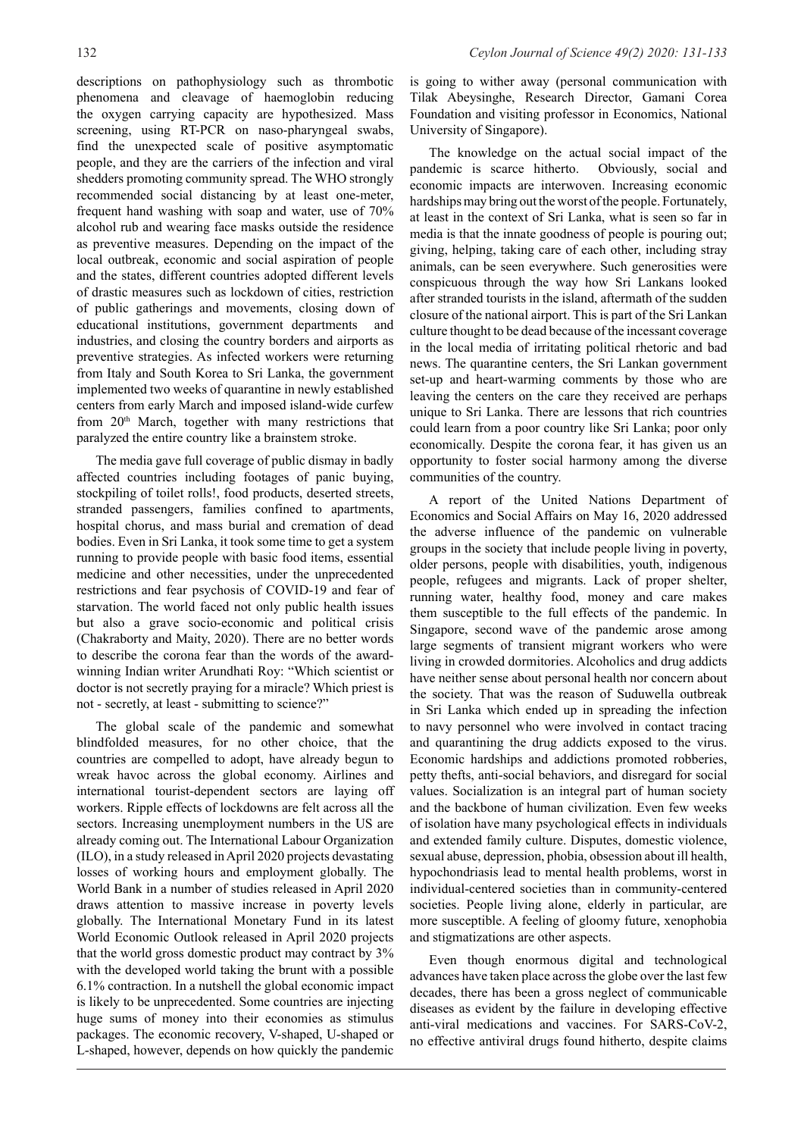descriptions on pathophysiology such as thrombotic phenomena and cleavage of haemoglobin reducing the oxygen carrying capacity are hypothesized. Mass screening, using RT-PCR on naso-pharyngeal swabs, find the unexpected scale of positive asymptomatic people, and they are the carriers of the infection and viral shedders promoting community spread. The WHO strongly recommended social distancing by at least one-meter, frequent hand washing with soap and water, use of 70% alcohol rub and wearing face masks outside the residence as preventive measures. Depending on the impact of the local outbreak, economic and social aspiration of people and the states, different countries adopted different levels of drastic measures such as lockdown of cities, restriction of public gatherings and movements, closing down of educational institutions, government departments and industries, and closing the country borders and airports as preventive strategies. As infected workers were returning from Italy and South Korea to Sri Lanka, the government implemented two weeks of quarantine in newly established centers from early March and imposed island-wide curfew from 20<sup>th</sup> March, together with many restrictions that paralyzed the entire country like a brainstem stroke.

The media gave full coverage of public dismay in badly affected countries including footages of panic buying, stockpiling of toilet rolls!, food products, deserted streets, stranded passengers, families confined to apartments, hospital chorus, and mass burial and cremation of dead bodies. Even in Sri Lanka, it took some time to get a system running to provide people with basic food items, essential medicine and other necessities, under the unprecedented restrictions and fear psychosis of COVID-19 and fear of starvation. The world faced not only public health issues but also a grave socio-economic and political crisis (Chakraborty and Maity, 2020). There are no better words to describe the corona fear than the words of the awardwinning Indian writer Arundhati Roy: "Which scientist or doctor is not secretly praying for a miracle? Which priest is not - secretly, at least - submitting to science?"

The global scale of the pandemic and somewhat blindfolded measures, for no other choice, that the countries are compelled to adopt, have already begun to wreak havoc across the global economy. Airlines and international tourist-dependent sectors are laying off workers. Ripple effects of lockdowns are felt across all the sectors. Increasing unemployment numbers in the US are already coming out. The International Labour Organization (ILO), in a study released in April 2020 projects devastating losses of working hours and employment globally. The World Bank in a number of studies released in April 2020 draws attention to massive increase in poverty levels globally. The International Monetary Fund in its latest World Economic Outlook released in April 2020 projects that the world gross domestic product may contract by 3% with the developed world taking the brunt with a possible 6.1% contraction. In a nutshell the global economic impact is likely to be unprecedented. Some countries are injecting huge sums of money into their economies as stimulus packages. The economic recovery, V-shaped, U-shaped or L-shaped, however, depends on how quickly the pandemic

is going to wither away (personal communication with Tilak Abeysinghe, Research Director, Gamani Corea Foundation and visiting professor in Economics, National University of Singapore).

The knowledge on the actual social impact of the pandemic is scarce hitherto. Obviously, social and economic impacts are interwoven. Increasing economic hardships may bring out the worst of the people. Fortunately, at least in the context of Sri Lanka, what is seen so far in media is that the innate goodness of people is pouring out; giving, helping, taking care of each other, including stray animals, can be seen everywhere. Such generosities were conspicuous through the way how Sri Lankans looked after stranded tourists in the island, aftermath of the sudden closure of the national airport. This is part of the Sri Lankan culture thought to be dead because of the incessant coverage in the local media of irritating political rhetoric and bad news. The quarantine centers, the Sri Lankan government set-up and heart-warming comments by those who are leaving the centers on the care they received are perhaps unique to Sri Lanka. There are lessons that rich countries could learn from a poor country like Sri Lanka; poor only economically. Despite the corona fear, it has given us an opportunity to foster social harmony among the diverse communities of the country.

A report of the United Nations Department of Economics and Social Affairs on May 16, 2020 addressed the adverse influence of the pandemic on vulnerable groups in the society that include people living in poverty, older persons, people with disabilities, youth, indigenous people, refugees and migrants. Lack of proper shelter, running water, healthy food, money and care makes them susceptible to the full effects of the pandemic. In Singapore, second wave of the pandemic arose among large segments of transient migrant workers who were living in crowded dormitories. Alcoholics and drug addicts have neither sense about personal health nor concern about the society. That was the reason of Suduwella outbreak in Sri Lanka which ended up in spreading the infection to navy personnel who were involved in contact tracing and quarantining the drug addicts exposed to the virus. Economic hardships and addictions promoted robberies, petty thefts, anti-social behaviors, and disregard for social values. Socialization is an integral part of human society and the backbone of human civilization. Even few weeks of isolation have many psychological effects in individuals and extended family culture. Disputes, domestic violence, sexual abuse, depression, phobia, obsession about ill health, hypochondriasis lead to mental health problems, worst in individual-centered societies than in community-centered societies. People living alone, elderly in particular, are more susceptible. A feeling of gloomy future, xenophobia and stigmatizations are other aspects.

Even though enormous digital and technological advances have taken place across the globe over the last few decades, there has been a gross neglect of communicable diseases as evident by the failure in developing effective anti-viral medications and vaccines. For SARS-CoV-2, no effective antiviral drugs found hitherto, despite claims